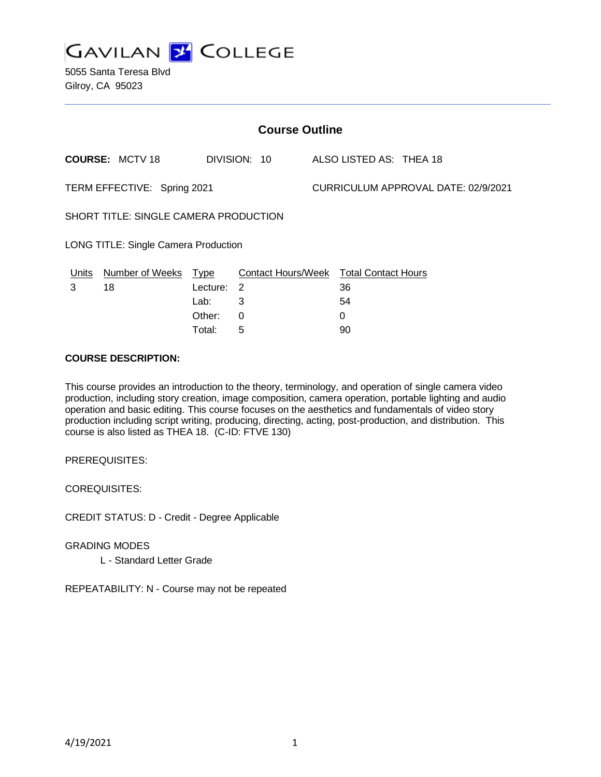

5055 Santa Teresa Blvd Gilroy, CA 95023

| <b>Course Outline</b>                 |                        |            |                                        |  |                                     |  |  |
|---------------------------------------|------------------------|------------|----------------------------------------|--|-------------------------------------|--|--|
|                                       | <b>COURSE: MCTV 18</b> |            | DIVISION: 10                           |  | ALSO LISTED AS: THEA 18             |  |  |
| TERM EFFECTIVE: Spring 2021           |                        |            |                                        |  | CURRICULUM APPROVAL DATE: 02/9/2021 |  |  |
| SHORT TITLE: SINGLE CAMERA PRODUCTION |                        |            |                                        |  |                                     |  |  |
| LONG TITLE: Single Camera Production  |                        |            |                                        |  |                                     |  |  |
| Units                                 | Number of Weeks Type   |            | Contact Hours/Week Total Contact Hours |  |                                     |  |  |
| 3                                     | 18                     | Lecture: 2 |                                        |  | 36                                  |  |  |
|                                       |                        | Lab:       | 3                                      |  | 54                                  |  |  |
|                                       |                        | Other:     | 0                                      |  | 0                                   |  |  |
|                                       |                        | Total:     | 5                                      |  | 90                                  |  |  |

#### **COURSE DESCRIPTION:**

This course provides an introduction to the theory, terminology, and operation of single camera video production, including story creation, image composition, camera operation, portable lighting and audio operation and basic editing. This course focuses on the aesthetics and fundamentals of video story production including script writing, producing, directing, acting, post-production, and distribution. This course is also listed as THEA 18. (C-ID: FTVE 130)

PREREQUISITES:

COREQUISITES:

CREDIT STATUS: D - Credit - Degree Applicable

GRADING MODES L - Standard Letter Grade

REPEATABILITY: N - Course may not be repeated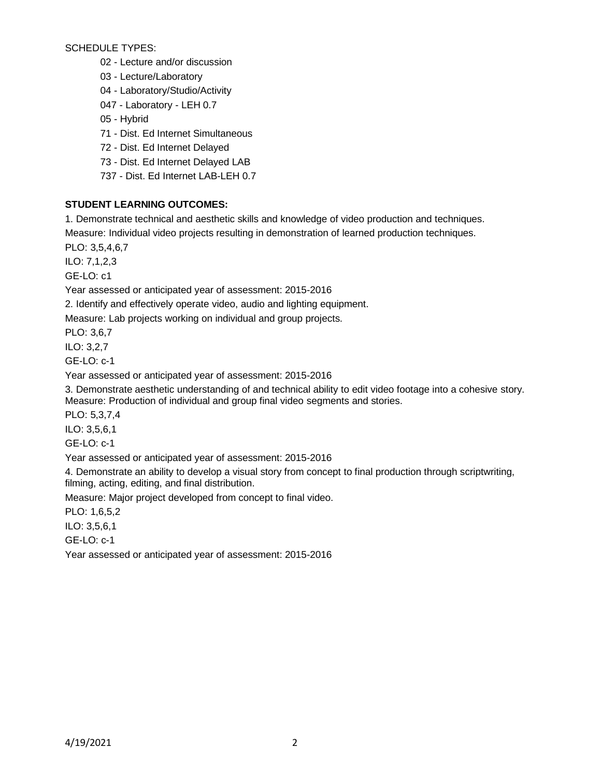SCHEDULE TYPES:

02 - Lecture and/or discussion

03 - Lecture/Laboratory

04 - Laboratory/Studio/Activity

047 - Laboratory - LEH 0.7

05 - Hybrid

71 - Dist. Ed Internet Simultaneous

72 - Dist. Ed Internet Delayed

73 - Dist. Ed Internet Delayed LAB

737 - Dist. Ed Internet LAB-LEH 0.7

# **STUDENT LEARNING OUTCOMES:**

1. Demonstrate technical and aesthetic skills and knowledge of video production and techniques.

Measure: Individual video projects resulting in demonstration of learned production techniques.

PLO: 3,5,4,6,7

ILO: 7,1,2,3

GE-LO: c1

Year assessed or anticipated year of assessment: 2015-2016

2. Identify and effectively operate video, audio and lighting equipment.

Measure: Lab projects working on individual and group projects.

PLO: 3,6,7

ILO: 3,2,7

GE-LO: c-1

Year assessed or anticipated year of assessment: 2015-2016

3. Demonstrate aesthetic understanding of and technical ability to edit video footage into a cohesive story. Measure: Production of individual and group final video segments and stories.

PLO: 5,3,7,4

ILO: 3,5,6,1

GE-LO: c-1

Year assessed or anticipated year of assessment: 2015-2016

4. Demonstrate an ability to develop a visual story from concept to final production through scriptwriting, filming, acting, editing, and final distribution.

Measure: Major project developed from concept to final video.

PLO: 1,6,5,2

ILO: 3,5,6,1

GE-LO: c-1

Year assessed or anticipated year of assessment: 2015-2016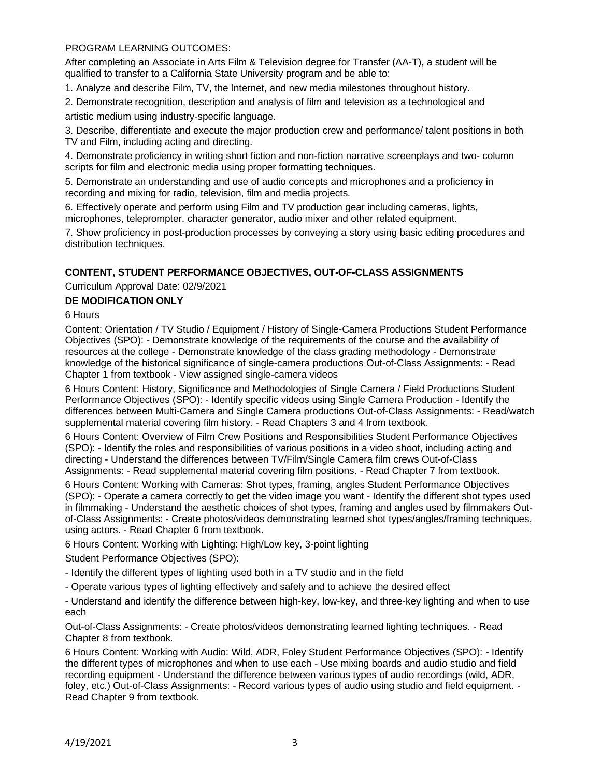### PROGRAM LEARNING OUTCOMES:

After completing an Associate in Arts Film & Television degree for Transfer (AA-T), a student will be qualified to transfer to a California State University program and be able to:

1. Analyze and describe Film, TV, the Internet, and new media milestones throughout history.

2. Demonstrate recognition, description and analysis of film and television as a technological and artistic medium using industry-specific language.

3. Describe, differentiate and execute the major production crew and performance/ talent positions in both TV and Film, including acting and directing.

4. Demonstrate proficiency in writing short fiction and non-fiction narrative screenplays and two- column scripts for film and electronic media using proper formatting techniques.

5. Demonstrate an understanding and use of audio concepts and microphones and a proficiency in recording and mixing for radio, television, film and media projects.

6. Effectively operate and perform using Film and TV production gear including cameras, lights, microphones, teleprompter, character generator, audio mixer and other related equipment.

7. Show proficiency in post-production processes by conveying a story using basic editing procedures and distribution techniques.

# **CONTENT, STUDENT PERFORMANCE OBJECTIVES, OUT-OF-CLASS ASSIGNMENTS**

Curriculum Approval Date: 02/9/2021

### **DE MODIFICATION ONLY**

6 Hours

Content: Orientation / TV Studio / Equipment / History of Single-Camera Productions Student Performance Objectives (SPO): - Demonstrate knowledge of the requirements of the course and the availability of resources at the college - Demonstrate knowledge of the class grading methodology - Demonstrate knowledge of the historical significance of single-camera productions Out-of-Class Assignments: - Read Chapter 1 from textbook - View assigned single-camera videos

6 Hours Content: History, Significance and Methodologies of Single Camera / Field Productions Student Performance Objectives (SPO): - Identify specific videos using Single Camera Production - Identify the differences between Multi-Camera and Single Camera productions Out-of-Class Assignments: - Read/watch supplemental material covering film history. - Read Chapters 3 and 4 from textbook.

6 Hours Content: Overview of Film Crew Positions and Responsibilities Student Performance Objectives (SPO): - Identify the roles and responsibilities of various positions in a video shoot, including acting and directing - Understand the differences between TV/Film/Single Camera film crews Out-of-Class Assignments: - Read supplemental material covering film positions. - Read Chapter 7 from textbook.

6 Hours Content: Working with Cameras: Shot types, framing, angles Student Performance Objectives (SPO): - Operate a camera correctly to get the video image you want - Identify the different shot types used in filmmaking - Understand the aesthetic choices of shot types, framing and angles used by filmmakers Outof-Class Assignments: - Create photos/videos demonstrating learned shot types/angles/framing techniques, using actors. - Read Chapter 6 from textbook.

6 Hours Content: Working with Lighting: High/Low key, 3-point lighting

Student Performance Objectives (SPO):

- Identify the different types of lighting used both in a TV studio and in the field

- Operate various types of lighting effectively and safely and to achieve the desired effect

- Understand and identify the difference between high-key, low-key, and three-key lighting and when to use each

Out-of-Class Assignments: - Create photos/videos demonstrating learned lighting techniques. - Read Chapter 8 from textbook.

6 Hours Content: Working with Audio: Wild, ADR, Foley Student Performance Objectives (SPO): - Identify the different types of microphones and when to use each - Use mixing boards and audio studio and field recording equipment - Understand the difference between various types of audio recordings (wild, ADR, foley, etc.) Out-of-Class Assignments: - Record various types of audio using studio and field equipment. - Read Chapter 9 from textbook.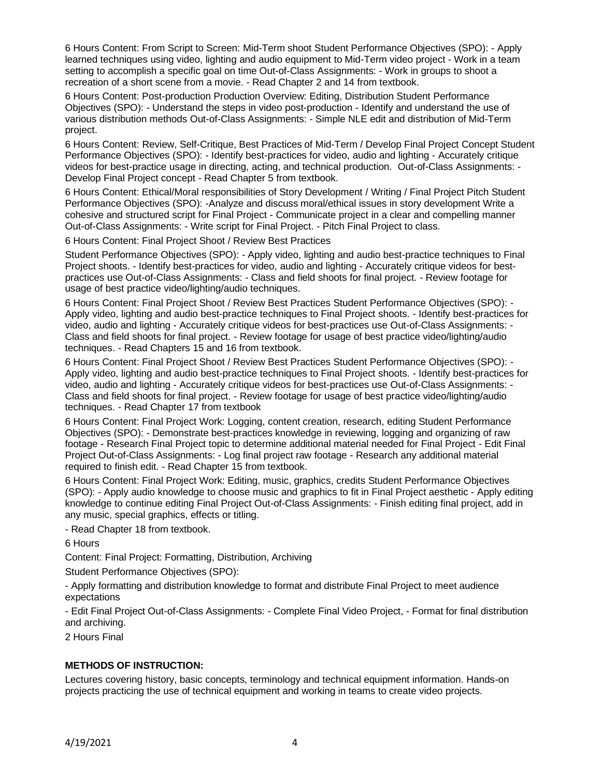6 Hours Content: From Script to Screen: Mid-Term shoot Student Performance Objectives (SPO): - Apply learned techniques using video, lighting and audio equipment to Mid-Term video project - Work in a team setting to accomplish a specific goal on time Out-of-Class Assignments: - Work in groups to shoot a recreation of a short scene from a movie. - Read Chapter 2 and 14 from textbook.

6 Hours Content: Post-production Production Overview: Editing, Distribution Student Performance Objectives (SPO): - Understand the steps in video post-production - Identify and understand the use of various distribution methods Out-of-Class Assignments: - Simple NLE edit and distribution of Mid-Term project.

6 Hours Content: Review, Self-Critique, Best Practices of Mid-Term / Develop Final Project Concept Student Performance Objectives (SPO): - Identify best-practices for video, audio and lighting - Accurately critique videos for best-practice usage in directing, acting, and technical production. Out-of-Class Assignments: - Develop Final Project concept - Read Chapter 5 from textbook.

6 Hours Content: Ethical/Moral responsibilities of Story Development / Writing / Final Project Pitch Student Performance Objectives (SPO): -Analyze and discuss moral/ethical issues in story development Write a cohesive and structured script for Final Project - Communicate project in a clear and compelling manner Out-of-Class Assignments: - Write script for Final Project. - Pitch Final Project to class.

6 Hours Content: Final Project Shoot / Review Best Practices

Student Performance Objectives (SPO): - Apply video, lighting and audio best-practice techniques to Final Project shoots. - Identify best-practices for video, audio and lighting - Accurately critique videos for bestpractices use Out-of-Class Assignments: - Class and field shoots for final project. - Review footage for usage of best practice video/lighting/audio techniques.

6 Hours Content: Final Project Shoot / Review Best Practices Student Performance Objectives (SPO): - Apply video, lighting and audio best-practice techniques to Final Project shoots. - Identify best-practices for video, audio and lighting - Accurately critique videos for best-practices use Out-of-Class Assignments: - Class and field shoots for final project. - Review footage for usage of best practice video/lighting/audio techniques. - Read Chapters 15 and 16 from textbook.

6 Hours Content: Final Project Shoot / Review Best Practices Student Performance Objectives (SPO): - Apply video, lighting and audio best-practice techniques to Final Project shoots. - Identify best-practices for video, audio and lighting - Accurately critique videos for best-practices use Out-of-Class Assignments: - Class and field shoots for final project. - Review footage for usage of best practice video/lighting/audio techniques. - Read Chapter 17 from textbook

6 Hours Content: Final Project Work: Logging, content creation, research, editing Student Performance Objectives (SPO): - Demonstrate best-practices knowledge in reviewing, logging and organizing of raw footage - Research Final Project topic to determine additional material needed for Final Project - Edit Final Project Out-of-Class Assignments: - Log final project raw footage - Research any additional material required to finish edit. - Read Chapter 15 from textbook.

6 Hours Content: Final Project Work: Editing, music, graphics, credits Student Performance Objectives (SPO): - Apply audio knowledge to choose music and graphics to fit in Final Project aesthetic - Apply editing knowledge to continue editing Final Project Out-of-Class Assignments: - Finish editing final project, add in any music, special graphics, effects or titling.

- Read Chapter 18 from textbook.

6 Hours

Content: Final Project: Formatting, Distribution, Archiving

Student Performance Objectives (SPO):

- Apply formatting and distribution knowledge to format and distribute Final Project to meet audience expectations

- Edit Final Project Out-of-Class Assignments: - Complete Final Video Project, - Format for final distribution and archiving.

2 Hours Final

### **METHODS OF INSTRUCTION:**

Lectures covering history, basic concepts, terminology and technical equipment information. Hands-on projects practicing the use of technical equipment and working in teams to create video projects.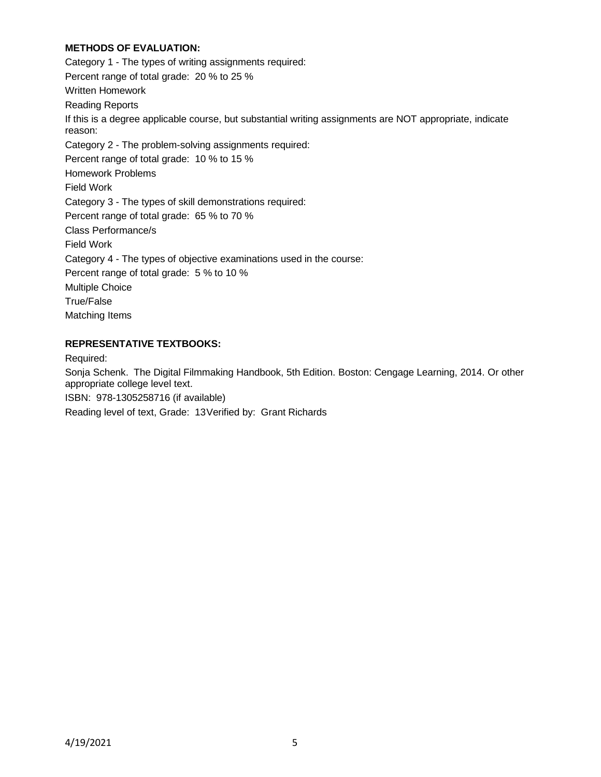## **METHODS OF EVALUATION:**

Category 1 - The types of writing assignments required: Percent range of total grade: 20 % to 25 % Written Homework Reading Reports If this is a degree applicable course, but substantial writing assignments are NOT appropriate, indicate reason: Category 2 - The problem-solving assignments required: Percent range of total grade: 10 % to 15 % Homework Problems Field Work Category 3 - The types of skill demonstrations required: Percent range of total grade: 65 % to 70 % Class Performance/s Field Work Category 4 - The types of objective examinations used in the course: Percent range of total grade: 5 % to 10 % Multiple Choice True/False Matching Items

### **REPRESENTATIVE TEXTBOOKS:**

Required:

Sonja Schenk. The Digital Filmmaking Handbook, 5th Edition. Boston: Cengage Learning, 2014. Or other appropriate college level text.

ISBN: 978-1305258716 (if available)

Reading level of text, Grade: 13Verified by: Grant Richards